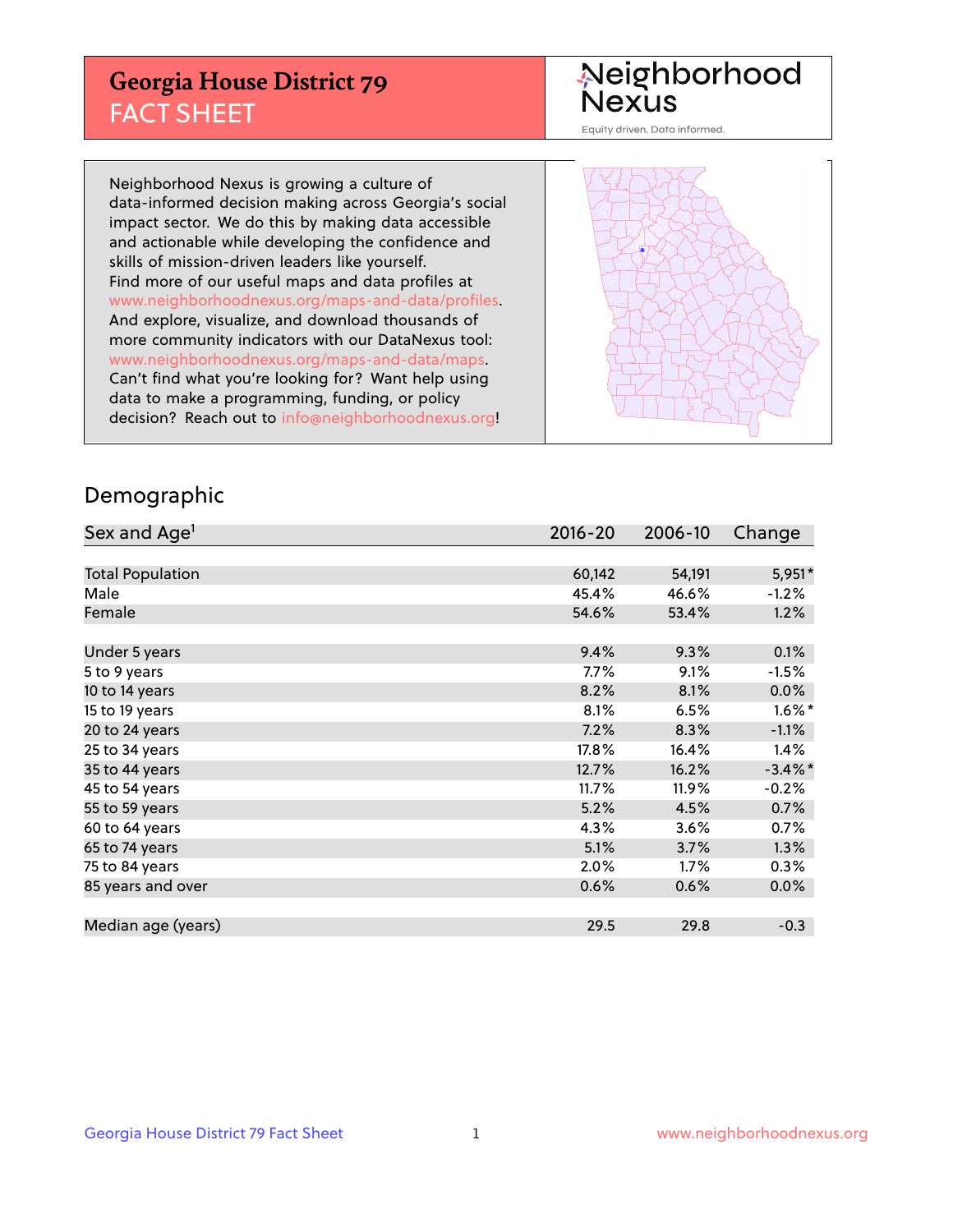## **Georgia House District 79** FACT SHEET

# Neighborhood<br>Nexus

Equity driven. Data informed.

Neighborhood Nexus is growing a culture of data-informed decision making across Georgia's social impact sector. We do this by making data accessible and actionable while developing the confidence and skills of mission-driven leaders like yourself. Find more of our useful maps and data profiles at www.neighborhoodnexus.org/maps-and-data/profiles. And explore, visualize, and download thousands of more community indicators with our DataNexus tool: www.neighborhoodnexus.org/maps-and-data/maps. Can't find what you're looking for? Want help using data to make a programming, funding, or policy decision? Reach out to [info@neighborhoodnexus.org!](mailto:info@neighborhoodnexus.org)



### Demographic

| Sex and Age <sup>1</sup> | $2016 - 20$ | 2006-10 | Change     |
|--------------------------|-------------|---------|------------|
|                          |             |         |            |
| <b>Total Population</b>  | 60,142      | 54,191  | $5,951*$   |
| Male                     | 45.4%       | 46.6%   | $-1.2%$    |
| Female                   | 54.6%       | 53.4%   | 1.2%       |
|                          |             |         |            |
| Under 5 years            | 9.4%        | 9.3%    | 0.1%       |
| 5 to 9 years             | $7.7\%$     | 9.1%    | $-1.5%$    |
| 10 to 14 years           | 8.2%        | 8.1%    | 0.0%       |
| 15 to 19 years           | 8.1%        | 6.5%    | $1.6\%$ *  |
| 20 to 24 years           | 7.2%        | 8.3%    | $-1.1%$    |
| 25 to 34 years           | 17.8%       | 16.4%   | 1.4%       |
| 35 to 44 years           | 12.7%       | 16.2%   | $-3.4\%$ * |
| 45 to 54 years           | 11.7%       | 11.9%   | $-0.2%$    |
| 55 to 59 years           | 5.2%        | 4.5%    | 0.7%       |
| 60 to 64 years           | 4.3%        | 3.6%    | 0.7%       |
| 65 to 74 years           | 5.1%        | 3.7%    | 1.3%       |
| 75 to 84 years           | 2.0%        | 1.7%    | 0.3%       |
| 85 years and over        | 0.6%        | 0.6%    | 0.0%       |
|                          |             |         |            |
| Median age (years)       | 29.5        | 29.8    | $-0.3$     |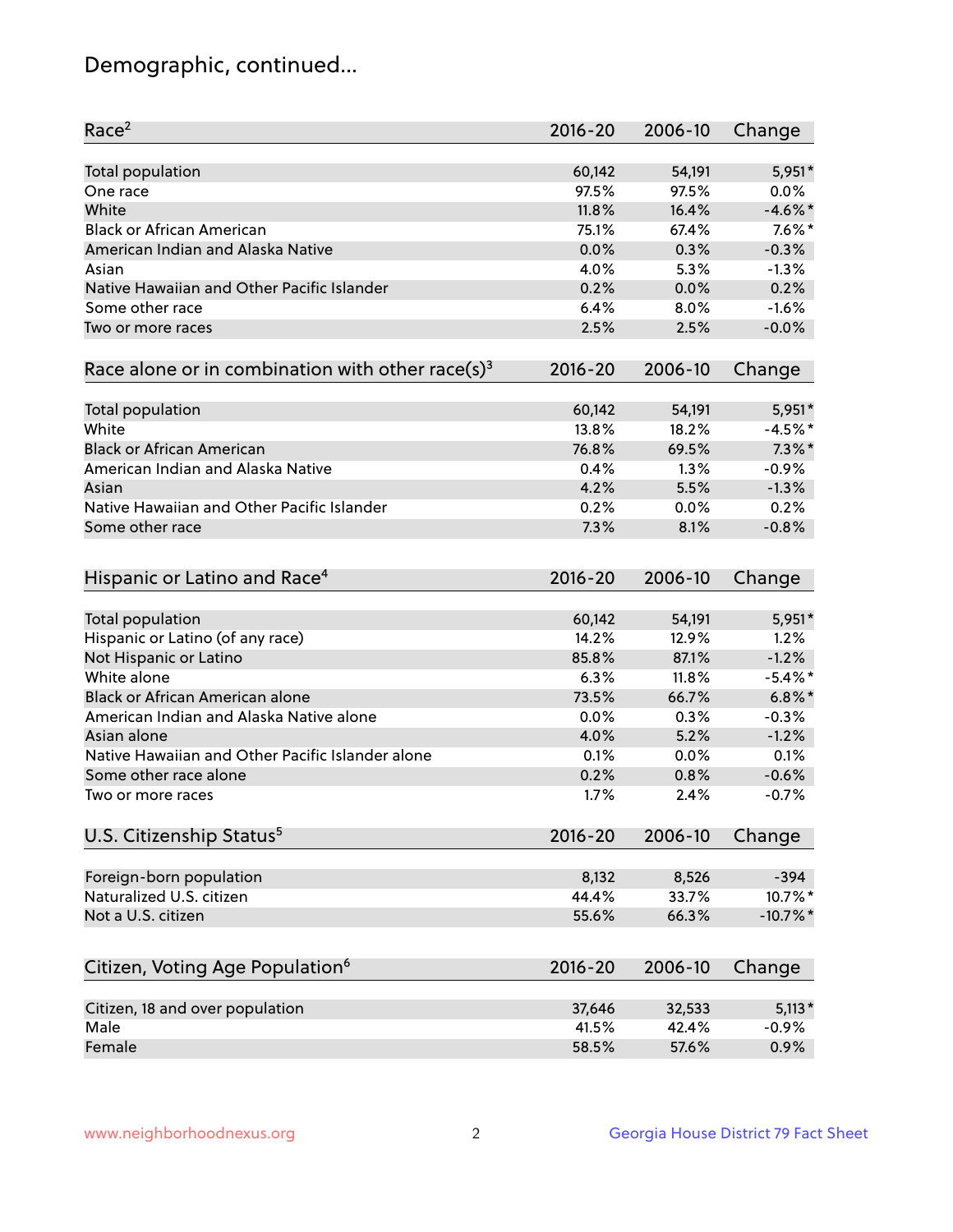## Demographic, continued...

| Race <sup>2</sup>                                            | $2016 - 20$  | 2006-10      | Change             |
|--------------------------------------------------------------|--------------|--------------|--------------------|
| <b>Total population</b>                                      | 60,142       | 54,191       | 5,951*             |
| One race                                                     | 97.5%        | 97.5%        | 0.0%               |
| White                                                        | 11.8%        | 16.4%        | $-4.6\%$ *         |
| <b>Black or African American</b>                             | 75.1%        | 67.4%        | $7.6\%$ *          |
| American Indian and Alaska Native                            | 0.0%         | 0.3%         | $-0.3%$            |
| Asian                                                        | 4.0%         | 5.3%         | $-1.3%$            |
| Native Hawaiian and Other Pacific Islander                   | 0.2%         | 0.0%         | 0.2%               |
| Some other race                                              | 6.4%         | 8.0%         | $-1.6%$            |
| Two or more races                                            | 2.5%         | 2.5%         | $-0.0%$            |
| Race alone or in combination with other race(s) <sup>3</sup> | $2016 - 20$  | 2006-10      | Change             |
|                                                              |              |              |                    |
| Total population                                             | 60,142       | 54,191       | 5,951*             |
| White                                                        | 13.8%        | 18.2%        | $-4.5%$ *          |
| <b>Black or African American</b>                             | 76.8%        | 69.5%        | $7.3\%$ *          |
| American Indian and Alaska Native                            | 0.4%         | 1.3%         | $-0.9%$            |
| Asian                                                        | 4.2%         | 5.5%         | $-1.3%$            |
| Native Hawaiian and Other Pacific Islander                   | 0.2%         | 0.0%         | 0.2%               |
| Some other race                                              | 7.3%         | 8.1%         | $-0.8%$            |
| Hispanic or Latino and Race <sup>4</sup>                     | $2016 - 20$  | 2006-10      | Change             |
| <b>Total population</b>                                      | 60,142       | 54,191       | 5,951*             |
| Hispanic or Latino (of any race)                             | 14.2%        | 12.9%        | 1.2%               |
| Not Hispanic or Latino                                       | 85.8%        | 87.1%        | $-1.2%$            |
| White alone                                                  | 6.3%         | 11.8%        | $-5.4\%$ *         |
| <b>Black or African American alone</b>                       | 73.5%        | 66.7%        | $6.8\%$ *          |
| American Indian and Alaska Native alone                      | 0.0%         | 0.3%         | $-0.3%$            |
| Asian alone                                                  | 4.0%         | 5.2%         | $-1.2%$            |
| Native Hawaiian and Other Pacific Islander alone             |              |              |                    |
|                                                              | 0.1%         | 0.0%         | 0.1%               |
| Some other race alone<br>Two or more races                   | 0.2%<br>1.7% | 0.8%<br>2.4% | $-0.6%$<br>$-0.7%$ |
|                                                              |              |              |                    |
| U.S. Citizenship Status <sup>5</sup>                         | $2016 - 20$  | 2006-10      | Change             |
| Foreign-born population                                      | 8,132        | 8,526        | $-394$             |
| Naturalized U.S. citizen                                     | 44.4%        | 33.7%        | 10.7%*             |
| Not a U.S. citizen                                           | 55.6%        | 66.3%        | $-10.7%$ *         |
|                                                              |              |              |                    |
| Citizen, Voting Age Population <sup>6</sup>                  | $2016 - 20$  | 2006-10      | Change             |
| Citizen, 18 and over population                              | 37,646       | 32,533       | $5,113*$           |
| Male                                                         | 41.5%        | 42.4%        | $-0.9%$            |
| Female                                                       | 58.5%        | 57.6%        | 0.9%               |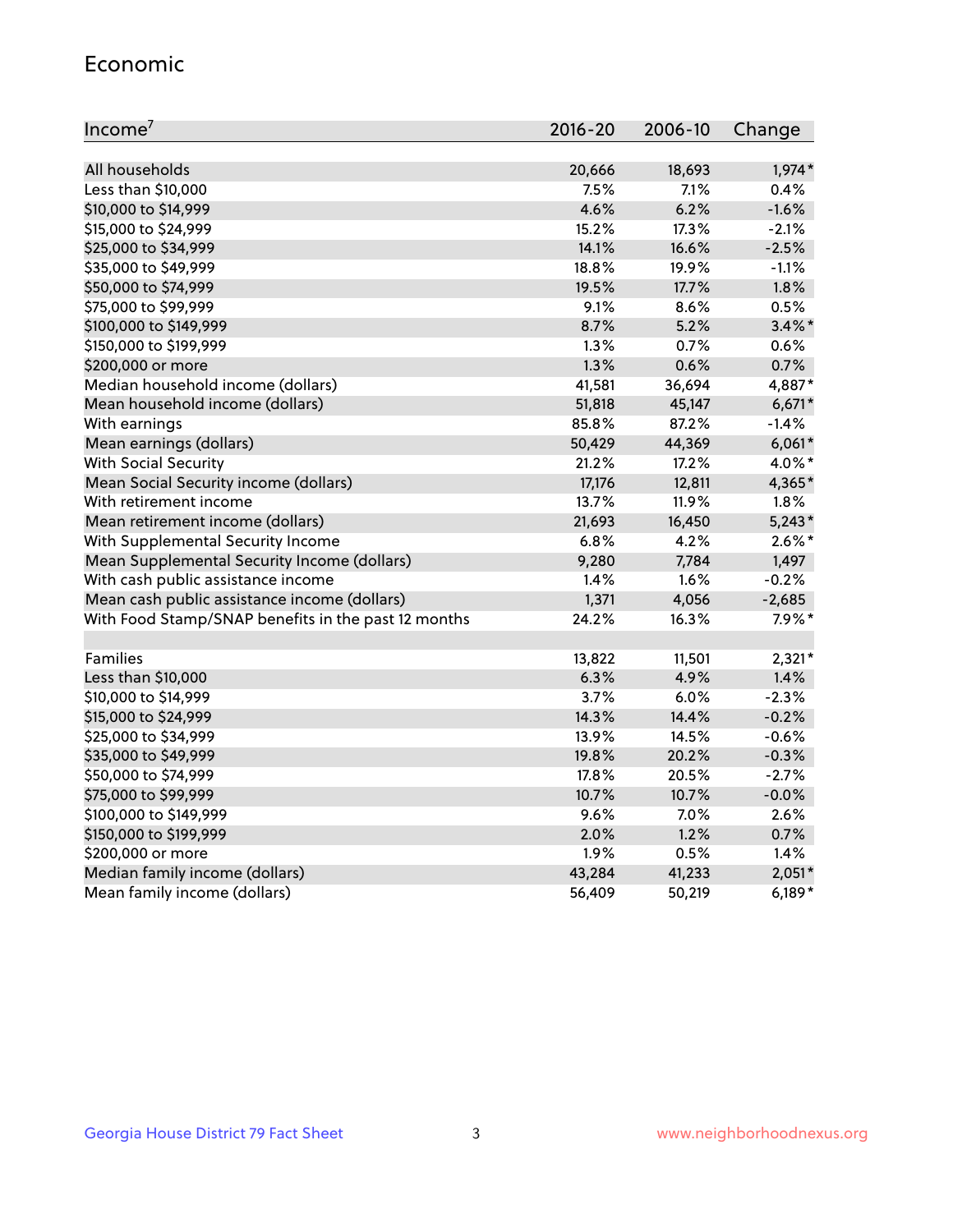#### Economic

| Income <sup>7</sup>                                 | 2016-20 | 2006-10 | Change    |
|-----------------------------------------------------|---------|---------|-----------|
|                                                     |         |         |           |
| All households                                      | 20,666  | 18,693  | $1,974*$  |
| Less than \$10,000                                  | 7.5%    | 7.1%    | 0.4%      |
| \$10,000 to \$14,999                                | 4.6%    | 6.2%    | $-1.6%$   |
| \$15,000 to \$24,999                                | 15.2%   | 17.3%   | $-2.1%$   |
| \$25,000 to \$34,999                                | 14.1%   | 16.6%   | $-2.5%$   |
| \$35,000 to \$49,999                                | 18.8%   | 19.9%   | $-1.1%$   |
| \$50,000 to \$74,999                                | 19.5%   | 17.7%   | 1.8%      |
| \$75,000 to \$99,999                                | 9.1%    | 8.6%    | 0.5%      |
| \$100,000 to \$149,999                              | 8.7%    | 5.2%    | $3.4\%$ * |
| \$150,000 to \$199,999                              | 1.3%    | 0.7%    | 0.6%      |
| \$200,000 or more                                   | 1.3%    | 0.6%    | 0.7%      |
| Median household income (dollars)                   | 41,581  | 36,694  | 4,887*    |
| Mean household income (dollars)                     | 51,818  | 45,147  | $6,671*$  |
| With earnings                                       | 85.8%   | 87.2%   | $-1.4%$   |
| Mean earnings (dollars)                             | 50,429  | 44,369  | $6,061*$  |
| <b>With Social Security</b>                         | 21.2%   | 17.2%   | 4.0%*     |
| Mean Social Security income (dollars)               | 17,176  | 12,811  | 4,365*    |
| With retirement income                              | 13.7%   | 11.9%   | 1.8%      |
| Mean retirement income (dollars)                    | 21,693  | 16,450  | $5,243*$  |
| With Supplemental Security Income                   | 6.8%    | 4.2%    | $2.6\%$ * |
| Mean Supplemental Security Income (dollars)         | 9,280   | 7,784   | 1,497     |
| With cash public assistance income                  | 1.4%    | 1.6%    | $-0.2%$   |
| Mean cash public assistance income (dollars)        | 1,371   | 4,056   | $-2,685$  |
| With Food Stamp/SNAP benefits in the past 12 months | 24.2%   | 16.3%   | $7.9\%$ * |
|                                                     |         |         |           |
| Families                                            | 13,822  | 11,501  | $2,321*$  |
| Less than \$10,000                                  | 6.3%    | 4.9%    | 1.4%      |
| \$10,000 to \$14,999                                | 3.7%    | 6.0%    | $-2.3%$   |
| \$15,000 to \$24,999                                | 14.3%   | 14.4%   | $-0.2%$   |
| \$25,000 to \$34,999                                | 13.9%   | 14.5%   | $-0.6%$   |
| \$35,000 to \$49,999                                | 19.8%   | 20.2%   | $-0.3%$   |
| \$50,000 to \$74,999                                | 17.8%   | 20.5%   | $-2.7%$   |
| \$75,000 to \$99,999                                | 10.7%   | 10.7%   | $-0.0%$   |
| \$100,000 to \$149,999                              | 9.6%    | 7.0%    | 2.6%      |
| \$150,000 to \$199,999                              | 2.0%    | 1.2%    | 0.7%      |
| \$200,000 or more                                   | 1.9%    | 0.5%    | 1.4%      |
| Median family income (dollars)                      | 43,284  | 41,233  | $2,051*$  |
| Mean family income (dollars)                        | 56,409  | 50,219  | $6,189*$  |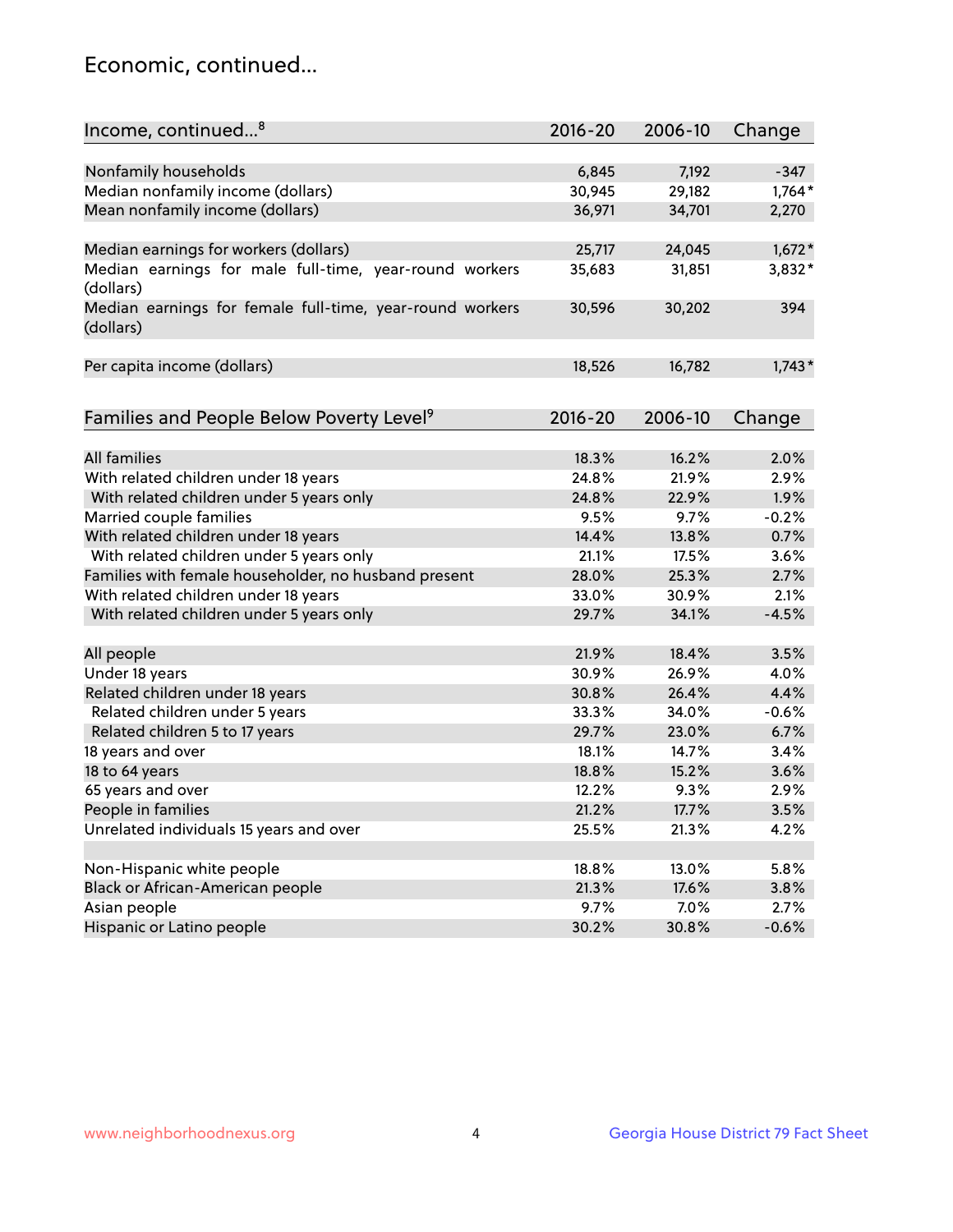## Economic, continued...

| Income, continued <sup>8</sup>                                        | $2016 - 20$ | 2006-10 | Change   |
|-----------------------------------------------------------------------|-------------|---------|----------|
|                                                                       |             |         |          |
| Nonfamily households                                                  | 6,845       | 7,192   | $-347$   |
| Median nonfamily income (dollars)                                     | 30,945      | 29,182  | $1,764*$ |
| Mean nonfamily income (dollars)                                       | 36,971      | 34,701  | 2,270    |
| Median earnings for workers (dollars)                                 | 25,717      | 24,045  | $1,672*$ |
| Median earnings for male full-time, year-round workers                | 35,683      | 31,851  | 3,832*   |
| (dollars)                                                             |             |         |          |
| Median earnings for female full-time, year-round workers<br>(dollars) | 30,596      | 30,202  | 394      |
| Per capita income (dollars)                                           | 18,526      | 16,782  | $1,743*$ |
|                                                                       |             |         |          |
| Families and People Below Poverty Level <sup>9</sup>                  | 2016-20     | 2006-10 | Change   |
|                                                                       |             |         |          |
| <b>All families</b>                                                   | 18.3%       | 16.2%   | 2.0%     |
| With related children under 18 years                                  | 24.8%       | 21.9%   | 2.9%     |
| With related children under 5 years only                              | 24.8%       | 22.9%   | 1.9%     |
| Married couple families                                               | 9.5%        | 9.7%    | $-0.2%$  |
| With related children under 18 years                                  | 14.4%       | 13.8%   | 0.7%     |
| With related children under 5 years only                              | 21.1%       | 17.5%   | 3.6%     |
| Families with female householder, no husband present                  | 28.0%       | 25.3%   | 2.7%     |
| With related children under 18 years                                  | 33.0%       | 30.9%   | 2.1%     |
| With related children under 5 years only                              | 29.7%       | 34.1%   | $-4.5%$  |
|                                                                       |             |         |          |
| All people                                                            | 21.9%       | 18.4%   | 3.5%     |
| Under 18 years                                                        | 30.9%       | 26.9%   | 4.0%     |
| Related children under 18 years                                       | 30.8%       | 26.4%   | 4.4%     |
| Related children under 5 years                                        | 33.3%       | 34.0%   | $-0.6%$  |
| Related children 5 to 17 years                                        | 29.7%       | 23.0%   | 6.7%     |
| 18 years and over                                                     | 18.1%       | 14.7%   | 3.4%     |
| 18 to 64 years                                                        | 18.8%       | 15.2%   | 3.6%     |
| 65 years and over                                                     | 12.2%       | 9.3%    | 2.9%     |
| People in families                                                    | 21.2%       | 17.7%   | 3.5%     |
| Unrelated individuals 15 years and over                               | 25.5%       | 21.3%   | 4.2%     |
|                                                                       |             |         |          |
| Non-Hispanic white people                                             | 18.8%       | 13.0%   | 5.8%     |
| Black or African-American people                                      | 21.3%       | 17.6%   | 3.8%     |
| Asian people                                                          | 9.7%        | $7.0\%$ | 2.7%     |
| Hispanic or Latino people                                             | 30.2%       | 30.8%   | $-0.6%$  |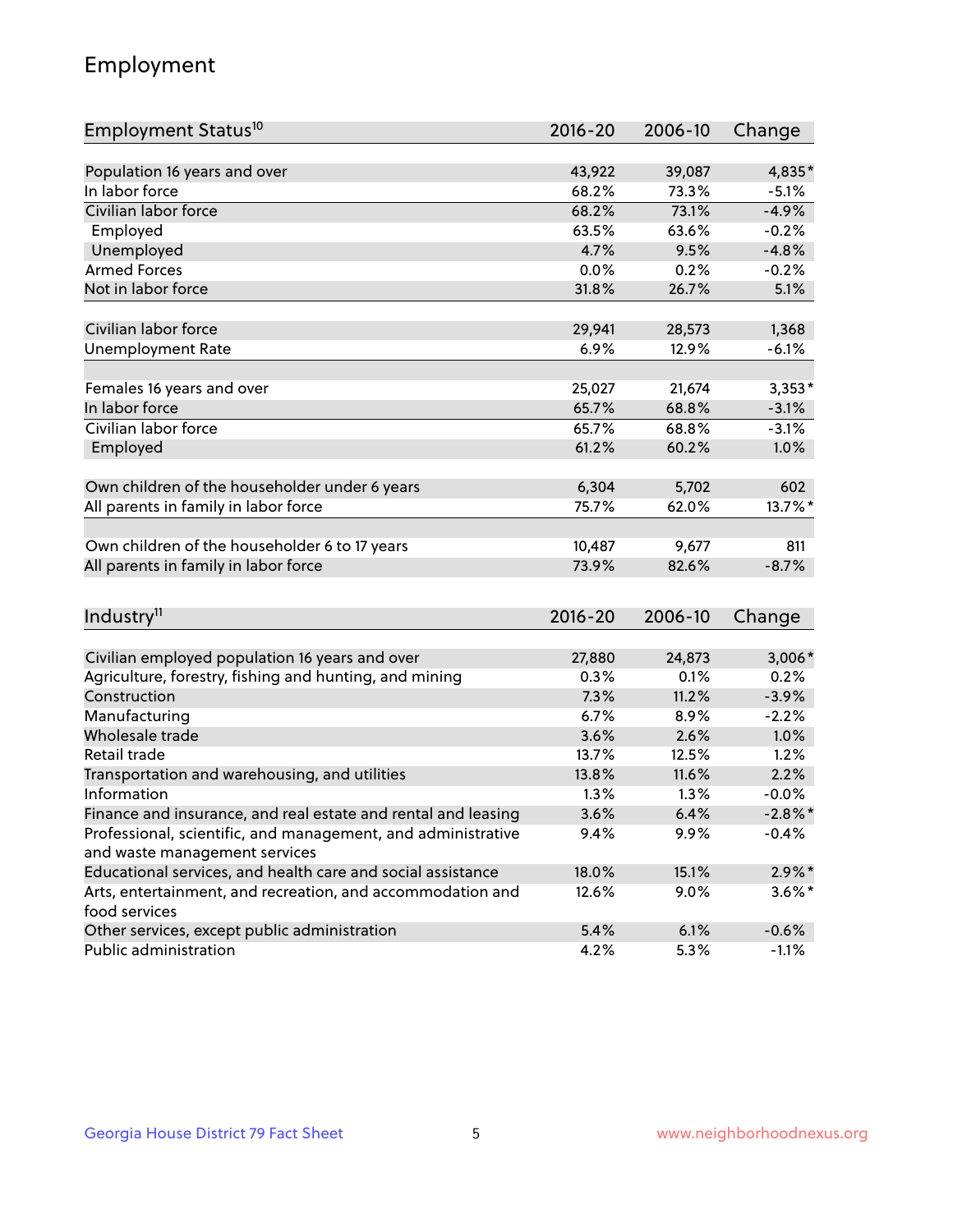## Employment

| Employment Status <sup>10</sup>                                             | $2016 - 20$ | 2006-10 | Change     |
|-----------------------------------------------------------------------------|-------------|---------|------------|
|                                                                             |             |         |            |
| Population 16 years and over                                                | 43,922      | 39,087  | 4,835*     |
| In labor force                                                              | 68.2%       | 73.3%   | $-5.1%$    |
| Civilian labor force                                                        | 68.2%       | 73.1%   | $-4.9%$    |
| Employed                                                                    | 63.5%       | 63.6%   | $-0.2%$    |
| Unemployed                                                                  | 4.7%        | 9.5%    | $-4.8%$    |
| <b>Armed Forces</b>                                                         | 0.0%        | 0.2%    | $-0.2%$    |
| Not in labor force                                                          | 31.8%       | 26.7%   | 5.1%       |
| Civilian labor force                                                        | 29,941      | 28,573  | 1,368      |
| <b>Unemployment Rate</b>                                                    | 6.9%        | 12.9%   | $-6.1%$    |
|                                                                             |             |         |            |
| Females 16 years and over                                                   | 25,027      | 21,674  | $3,353*$   |
| In labor force                                                              | 65.7%       | 68.8%   | $-3.1%$    |
| Civilian labor force                                                        | 65.7%       | 68.8%   | $-3.1%$    |
| Employed                                                                    | 61.2%       | 60.2%   | 1.0%       |
|                                                                             |             |         |            |
| Own children of the householder under 6 years                               | 6,304       | 5,702   | 602        |
| All parents in family in labor force                                        | 75.7%       | 62.0%   | 13.7%*     |
| Own children of the householder 6 to 17 years                               | 10,487      | 9,677   | 811        |
| All parents in family in labor force                                        | 73.9%       | 82.6%   | $-8.7%$    |
|                                                                             |             |         |            |
| Industry <sup>11</sup>                                                      | $2016 - 20$ | 2006-10 | Change     |
|                                                                             |             |         |            |
| Civilian employed population 16 years and over                              | 27,880      | 24,873  | $3,006*$   |
| Agriculture, forestry, fishing and hunting, and mining                      | 0.3%        | 0.1%    | 0.2%       |
| Construction                                                                | 7.3%        | 11.2%   | $-3.9%$    |
| Manufacturing                                                               | 6.7%        | 8.9%    | $-2.2%$    |
| Wholesale trade                                                             | 3.6%        | 2.6%    | 1.0%       |
| Retail trade                                                                | 13.7%       | 12.5%   | 1.2%       |
| Transportation and warehousing, and utilities                               | 13.8%       | 11.6%   | 2.2%       |
| Information                                                                 | 1.3%        | 1.3%    | $-0.0%$    |
| Finance and insurance, and real estate and rental and leasing               | 3.6%        | 6.4%    | $-2.8\%$ * |
| Professional, scientific, and management, and administrative                | 9.4%        | $9.9\%$ | $-0.4%$    |
| and waste management services                                               |             |         |            |
| Educational services, and health care and social assistance                 | 18.0%       | 15.1%   | $2.9\%$ *  |
| Arts, entertainment, and recreation, and accommodation and<br>food services | 12.6%       | $9.0\%$ | $3.6\%$ *  |
| Other services, except public administration                                | 5.4%        | 6.1%    | $-0.6%$    |
| Public administration                                                       | 4.2%        | 5.3%    | $-1.1%$    |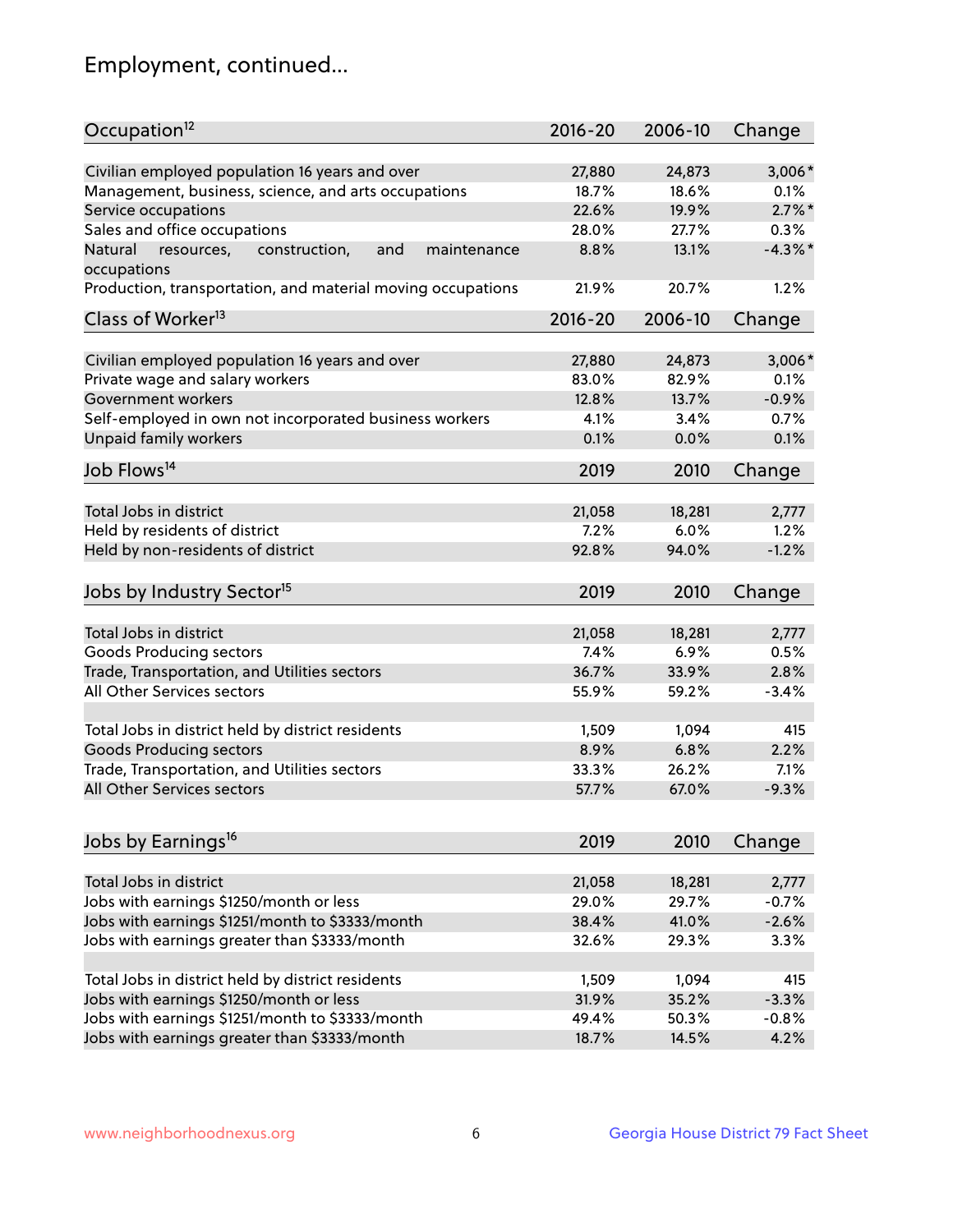## Employment, continued...

| Occupation <sup>12</sup>                                     | $2016 - 20$ | 2006-10 | Change     |
|--------------------------------------------------------------|-------------|---------|------------|
| Civilian employed population 16 years and over               | 27,880      | 24,873  | 3,006*     |
| Management, business, science, and arts occupations          | 18.7%       | 18.6%   | 0.1%       |
| Service occupations                                          | 22.6%       | 19.9%   | $2.7\%$ *  |
| Sales and office occupations                                 | 28.0%       | 27.7%   | 0.3%       |
| Natural<br>and<br>resources,<br>construction,<br>maintenance | 8.8%        | 13.1%   | $-4.3\%$ * |
| occupations                                                  |             |         |            |
| Production, transportation, and material moving occupations  | 21.9%       | 20.7%   | 1.2%       |
| Class of Worker <sup>13</sup>                                | $2016 - 20$ | 2006-10 | Change     |
|                                                              |             |         |            |
| Civilian employed population 16 years and over               | 27,880      | 24,873  | $3,006*$   |
| Private wage and salary workers                              | 83.0%       | 82.9%   | 0.1%       |
| Government workers                                           | 12.8%       | 13.7%   | $-0.9%$    |
| Self-employed in own not incorporated business workers       | 4.1%        | 3.4%    | 0.7%       |
| Unpaid family workers                                        | 0.1%        | 0.0%    | 0.1%       |
| Job Flows <sup>14</sup>                                      | 2019        | 2010    | Change     |
| Total Jobs in district                                       | 21,058      |         |            |
|                                                              |             | 18,281  | 2,777      |
| Held by residents of district                                | 7.2%        | 6.0%    | 1.2%       |
| Held by non-residents of district                            | 92.8%       | 94.0%   | $-1.2%$    |
| Jobs by Industry Sector <sup>15</sup>                        | 2019        | 2010    | Change     |
| Total Jobs in district                                       | 21,058      | 18,281  | 2,777      |
| Goods Producing sectors                                      | 7.4%        | 6.9%    | 0.5%       |
| Trade, Transportation, and Utilities sectors                 | 36.7%       | 33.9%   | 2.8%       |
| All Other Services sectors                                   | 55.9%       | 59.2%   | $-3.4%$    |
|                                                              |             |         |            |
| Total Jobs in district held by district residents            | 1,509       | 1,094   | 415        |
| <b>Goods Producing sectors</b>                               | 8.9%        | 6.8%    | 2.2%       |
| Trade, Transportation, and Utilities sectors                 | 33.3%       | 26.2%   | 7.1%       |
| All Other Services sectors                                   | 57.7%       | 67.0%   | $-9.3%$    |
|                                                              |             |         |            |
| Jobs by Earnings <sup>16</sup>                               | 2019        | 2010    | Change     |
| Total Jobs in district                                       | 21,058      | 18,281  | 2,777      |
| Jobs with earnings \$1250/month or less                      | 29.0%       | 29.7%   | $-0.7%$    |
| Jobs with earnings \$1251/month to \$3333/month              | 38.4%       | 41.0%   | $-2.6%$    |
| Jobs with earnings greater than \$3333/month                 | 32.6%       | 29.3%   | 3.3%       |
|                                                              |             |         |            |
| Total Jobs in district held by district residents            | 1,509       | 1,094   | 415        |
| Jobs with earnings \$1250/month or less                      | 31.9%       | 35.2%   | $-3.3%$    |
| Jobs with earnings \$1251/month to \$3333/month              | 49.4%       | 50.3%   | $-0.8%$    |
| Jobs with earnings greater than \$3333/month                 | 18.7%       | 14.5%   | 4.2%       |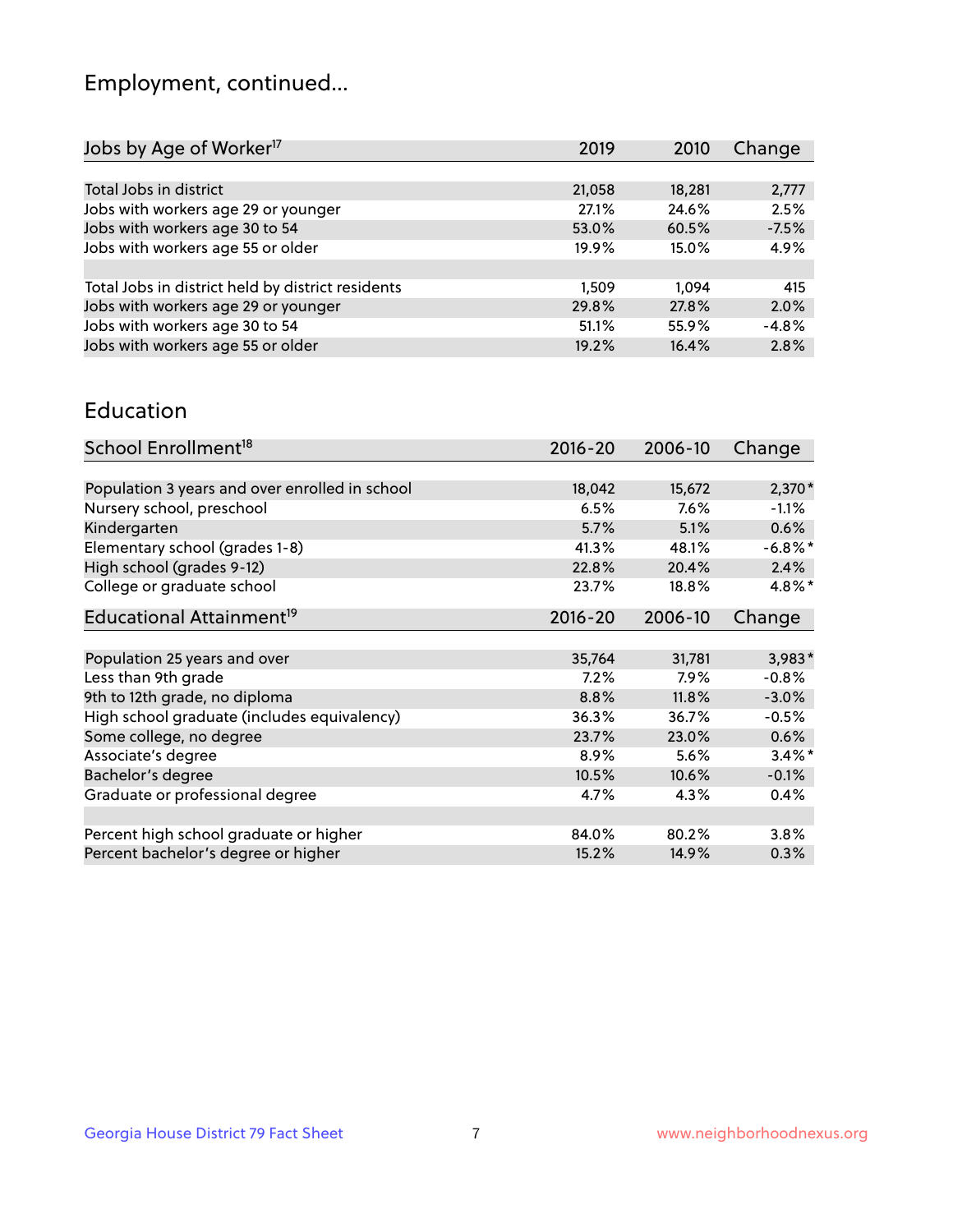## Employment, continued...

| 2010   | Change                                                                        |
|--------|-------------------------------------------------------------------------------|
|        |                                                                               |
| 18,281 | 2,777                                                                         |
| 24.6%  | 2.5%                                                                          |
| 60.5%  | $-7.5%$                                                                       |
| 15.0%  | 4.9%                                                                          |
|        |                                                                               |
| 1.094  | 415                                                                           |
| 27.8%  | 2.0%                                                                          |
| 55.9%  | $-4.8%$                                                                       |
| 16.4%  | 2.8%                                                                          |
|        | 2019<br>21,058<br>27.1%<br>53.0%<br>19.9%<br>1.509<br>29.8%<br>51.1%<br>19.2% |

#### Education

| School Enrollment <sup>18</sup>                | $2016 - 20$ | 2006-10 | Change     |
|------------------------------------------------|-------------|---------|------------|
|                                                |             |         |            |
| Population 3 years and over enrolled in school | 18,042      | 15,672  | $2,370*$   |
| Nursery school, preschool                      | 6.5%        | $7.6\%$ | $-1.1\%$   |
| Kindergarten                                   | 5.7%        | 5.1%    | 0.6%       |
| Elementary school (grades 1-8)                 | 41.3%       | 48.1%   | $-6.8\%$ * |
| High school (grades 9-12)                      | 22.8%       | 20.4%   | 2.4%       |
| College or graduate school                     | 23.7%       | 18.8%   | 4.8%*      |
| Educational Attainment <sup>19</sup>           | $2016 - 20$ | 2006-10 | Change     |
|                                                |             |         |            |
| Population 25 years and over                   | 35,764      | 31,781  | 3,983*     |
| Less than 9th grade                            | 7.2%        | $7.9\%$ | $-0.8%$    |
| 9th to 12th grade, no diploma                  | 8.8%        | 11.8%   | $-3.0%$    |
| High school graduate (includes equivalency)    | 36.3%       | 36.7%   | $-0.5%$    |
| Some college, no degree                        | 23.7%       | 23.0%   | 0.6%       |
| Associate's degree                             | 8.9%        | 5.6%    | $3.4\%$ *  |
| Bachelor's degree                              | 10.5%       | 10.6%   | $-0.1%$    |
| Graduate or professional degree                | 4.7%        | 4.3%    | 0.4%       |
|                                                |             |         |            |
| Percent high school graduate or higher         | 84.0%       | 80.2%   | 3.8%       |
| Percent bachelor's degree or higher            | 15.2%       | 14.9%   | 0.3%       |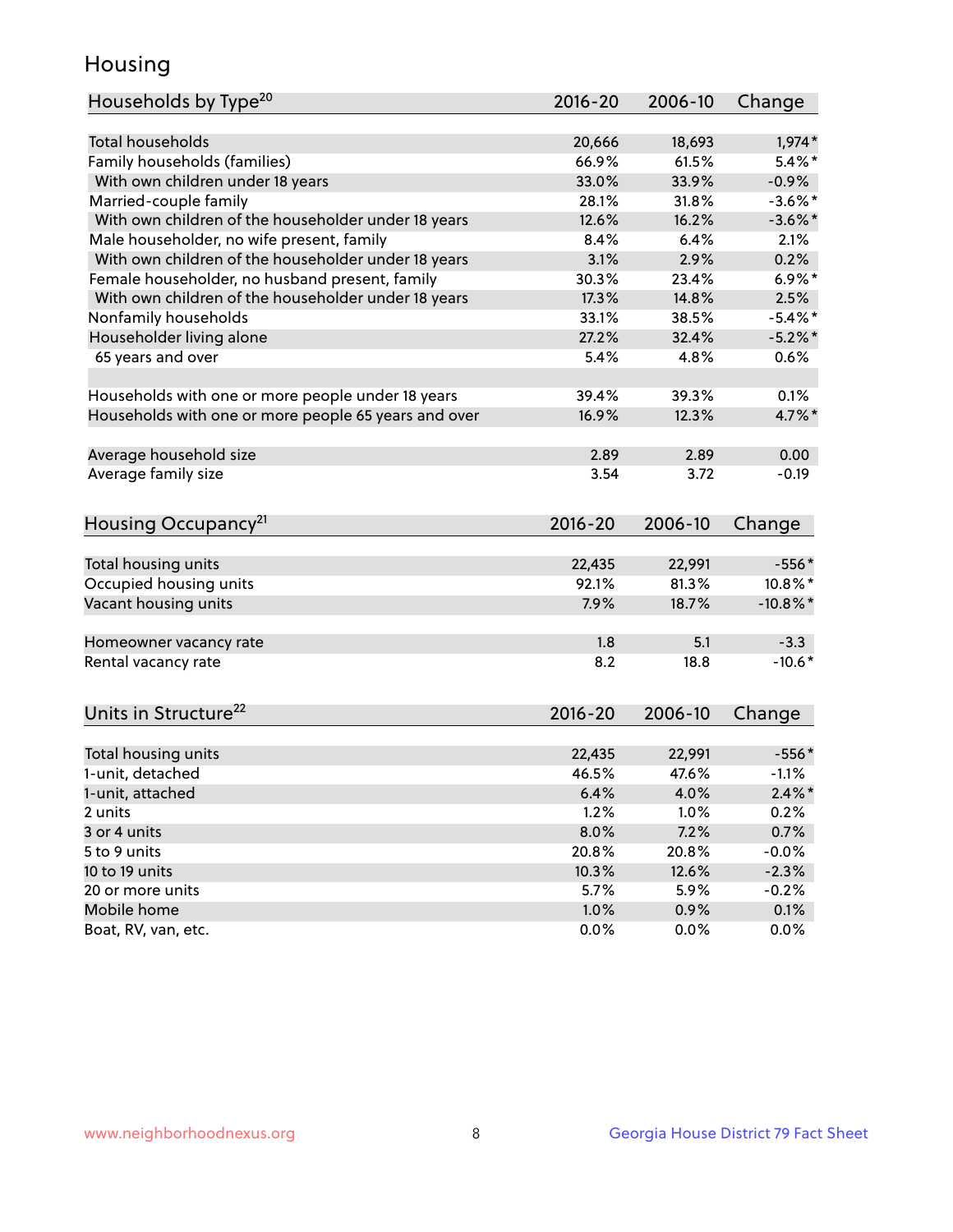## Housing

| Households by Type <sup>20</sup>                     | 2016-20     | 2006-10 | Change      |
|------------------------------------------------------|-------------|---------|-------------|
|                                                      |             |         |             |
| <b>Total households</b>                              | 20,666      | 18,693  | $1,974*$    |
| Family households (families)                         | 66.9%       | 61.5%   | $5.4\%$ *   |
| With own children under 18 years                     | 33.0%       | 33.9%   | $-0.9%$     |
| Married-couple family                                | 28.1%       | 31.8%   | $-3.6\%$ *  |
| With own children of the householder under 18 years  | 12.6%       | 16.2%   | $-3.6\%$ *  |
| Male householder, no wife present, family            | 8.4%        | 6.4%    | 2.1%        |
| With own children of the householder under 18 years  | 3.1%        | 2.9%    | 0.2%        |
| Female householder, no husband present, family       | 30.3%       | 23.4%   | $6.9\%$ *   |
| With own children of the householder under 18 years  | 17.3%       | 14.8%   | 2.5%        |
| Nonfamily households                                 | 33.1%       | 38.5%   | $-5.4\%$ *  |
| Householder living alone                             | 27.2%       | 32.4%   | $-5.2\%$ *  |
| 65 years and over                                    | 5.4%        | 4.8%    | 0.6%        |
| Households with one or more people under 18 years    | 39.4%       | 39.3%   | 0.1%        |
| Households with one or more people 65 years and over | 16.9%       | 12.3%   | 4.7%*       |
|                                                      |             |         |             |
| Average household size                               | 2.89        | 2.89    | 0.00        |
| Average family size                                  | 3.54        | 3.72    | $-0.19$     |
| Housing Occupancy <sup>21</sup>                      | $2016 - 20$ | 2006-10 | Change      |
| Total housing units                                  | 22,435      | 22,991  | $-556*$     |
| Occupied housing units                               | 92.1%       | 81.3%   | 10.8%*      |
| Vacant housing units                                 | 7.9%        | 18.7%   | $-10.8\%$ * |
|                                                      |             |         |             |
| Homeowner vacancy rate                               | 1.8         | 5.1     | $-3.3$      |
| Rental vacancy rate                                  | 8.2         | 18.8    | $-10.6*$    |
| Units in Structure <sup>22</sup>                     | 2016-20     | 2006-10 | Change      |
| Total housing units                                  | 22,435      | 22,991  | $-556*$     |
| 1-unit, detached                                     | 46.5%       | 47.6%   | $-1.1%$     |
|                                                      |             |         |             |
| 1-unit, attached                                     | 6.4%        | 4.0%    | $2.4\%$ *   |
| 2 units                                              | 1.2%        | 1.0%    | 0.2%        |
| 3 or 4 units                                         | 8.0%        | 7.2%    | 0.7%        |
| 5 to 9 units                                         | 20.8%       | 20.8%   | $-0.0%$     |
| 10 to 19 units                                       | 10.3%       | 12.6%   | $-2.3%$     |
| 20 or more units                                     | 5.7%        | 5.9%    | $-0.2%$     |
| Mobile home                                          | 1.0%        | 0.9%    | 0.1%        |
| Boat, RV, van, etc.                                  | 0.0%        | 0.0%    | 0.0%        |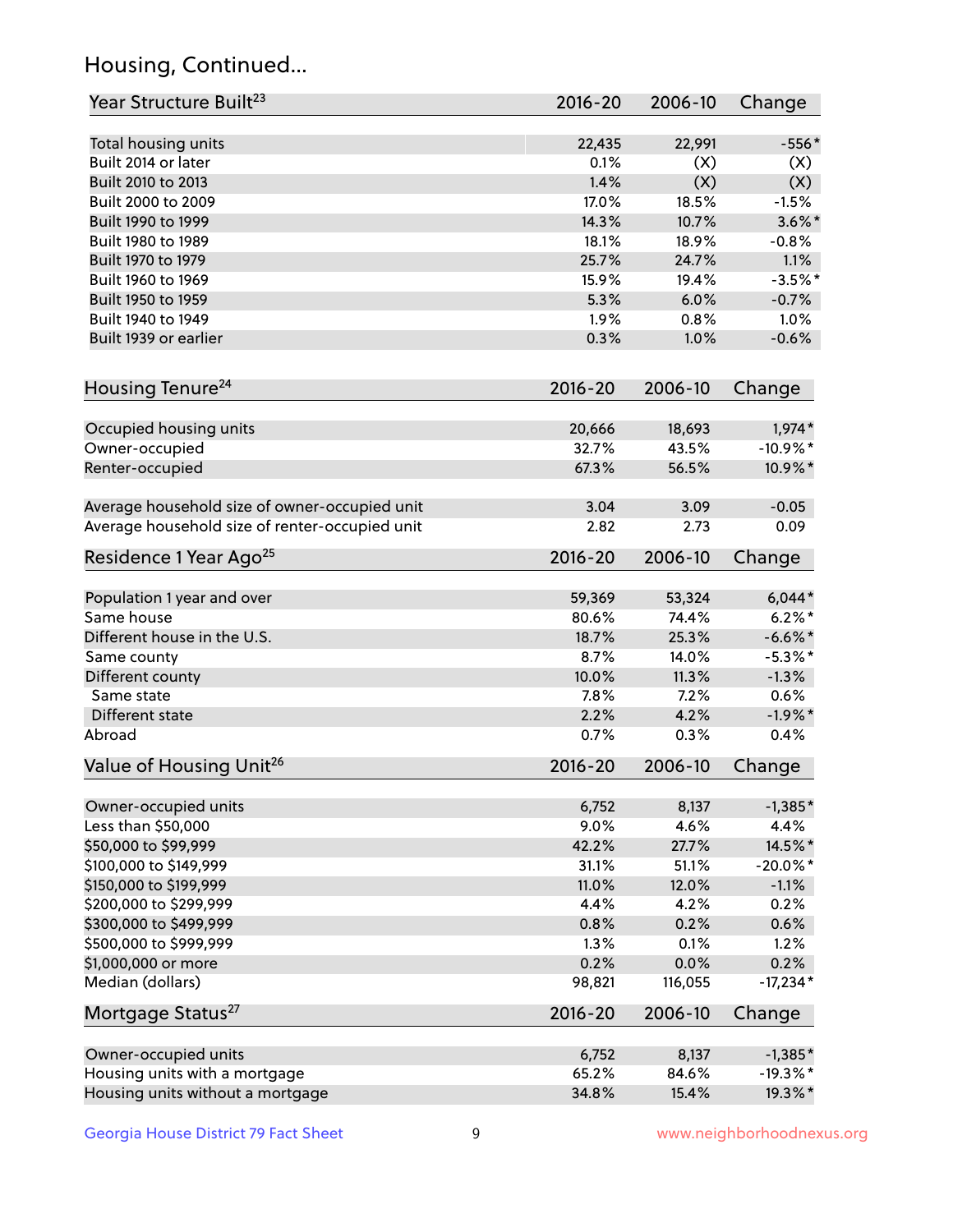## Housing, Continued...

| Year Structure Built <sup>23</sup>             | 2016-20     | 2006-10 | Change      |
|------------------------------------------------|-------------|---------|-------------|
| Total housing units                            | 22,435      | 22,991  | $-556*$     |
| Built 2014 or later                            | 0.1%        | (X)     | (X)         |
| Built 2010 to 2013                             | 1.4%        | (X)     | (X)         |
| Built 2000 to 2009                             | 17.0%       | 18.5%   | $-1.5%$     |
| Built 1990 to 1999                             | 14.3%       | 10.7%   | $3.6\%$ *   |
| Built 1980 to 1989                             | 18.1%       | 18.9%   | $-0.8%$     |
| Built 1970 to 1979                             | 25.7%       | 24.7%   | 1.1%        |
| Built 1960 to 1969                             | 15.9%       | 19.4%   | $-3.5%$ *   |
| Built 1950 to 1959                             | 5.3%        | 6.0%    | $-0.7%$     |
| Built 1940 to 1949                             | 1.9%        | 0.8%    | 1.0%        |
| Built 1939 or earlier                          | 0.3%        | 1.0%    | $-0.6%$     |
| Housing Tenure <sup>24</sup>                   | $2016 - 20$ | 2006-10 | Change      |
|                                                |             |         |             |
| Occupied housing units                         | 20,666      | 18,693  | $1,974*$    |
| Owner-occupied                                 | 32.7%       | 43.5%   | $-10.9%$ *  |
| Renter-occupied                                | 67.3%       | 56.5%   | 10.9%*      |
| Average household size of owner-occupied unit  | 3.04        | 3.09    | $-0.05$     |
| Average household size of renter-occupied unit | 2.82        | 2.73    | 0.09        |
| Residence 1 Year Ago <sup>25</sup>             | $2016 - 20$ | 2006-10 | Change      |
| Population 1 year and over                     | 59,369      | 53,324  | $6,044*$    |
| Same house                                     | 80.6%       | 74.4%   | $6.2\%$ *   |
| Different house in the U.S.                    | 18.7%       | 25.3%   | $-6.6\%$ *  |
| Same county                                    | 8.7%        | 14.0%   | $-5.3\%$ *  |
| Different county                               | 10.0%       | 11.3%   | $-1.3%$     |
| Same state                                     | 7.8%        | 7.2%    | 0.6%        |
| Different state                                | 2.2%        | 4.2%    | $-1.9%$ *   |
| Abroad                                         | 0.7%        | 0.3%    | 0.4%        |
| Value of Housing Unit <sup>26</sup>            | $2016 - 20$ | 2006-10 | Change      |
| Owner-occupied units                           | 6,752       | 8,137   | $-1,385*$   |
| Less than \$50,000                             | 9.0%        | 4.6%    | 4.4%        |
| \$50,000 to \$99,999                           | 42.2%       | 27.7%   | 14.5%*      |
| \$100,000 to \$149,999                         | 31.1%       | 51.1%   | $-20.0\%$ * |
| \$150,000 to \$199,999                         | 11.0%       | 12.0%   | $-1.1%$     |
| \$200,000 to \$299,999                         | 4.4%        | 4.2%    | 0.2%        |
| \$300,000 to \$499,999                         | 0.8%        | 0.2%    | 0.6%        |
| \$500,000 to \$999,999                         | 1.3%        | 0.1%    | 1.2%        |
| \$1,000,000 or more                            | 0.2%        | 0.0%    | 0.2%        |
| Median (dollars)                               | 98,821      | 116,055 | $-17,234*$  |
| Mortgage Status <sup>27</sup>                  | $2016 - 20$ | 2006-10 | Change      |
| Owner-occupied units                           | 6,752       | 8,137   | $-1,385*$   |
| Housing units with a mortgage                  | 65.2%       | 84.6%   | $-19.3%$ *  |
| Housing units without a mortgage               | 34.8%       | 15.4%   | 19.3%*      |
|                                                |             |         |             |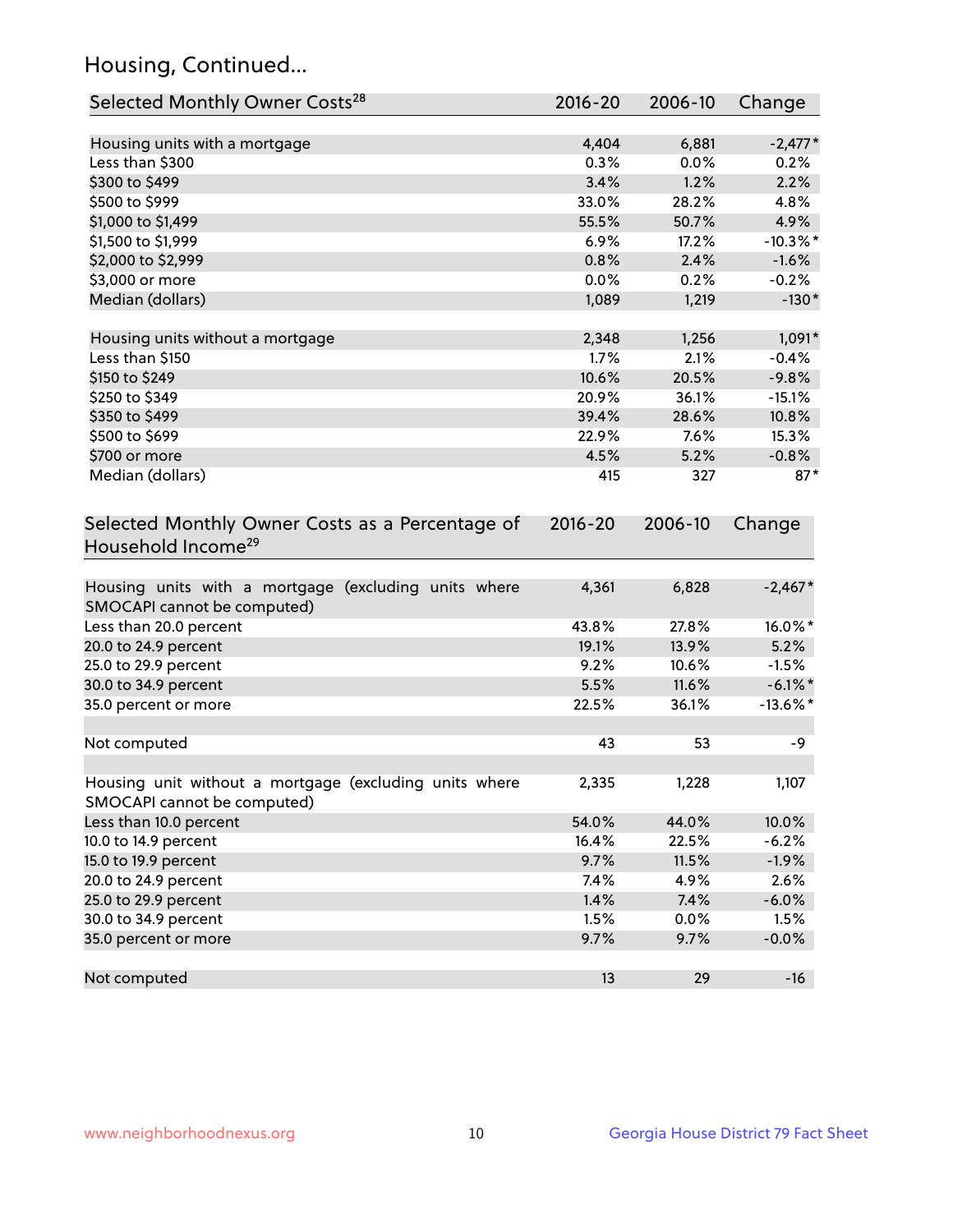## Housing, Continued...

| Selected Monthly Owner Costs <sup>28</sup>                                            | 2016-20     | 2006-10 | Change      |
|---------------------------------------------------------------------------------------|-------------|---------|-------------|
| Housing units with a mortgage                                                         | 4,404       | 6,881   | $-2,477*$   |
| Less than \$300                                                                       | 0.3%        | 0.0%    | 0.2%        |
| \$300 to \$499                                                                        | 3.4%        | 1.2%    | 2.2%        |
| \$500 to \$999                                                                        | 33.0%       | 28.2%   | 4.8%        |
| \$1,000 to \$1,499                                                                    | 55.5%       | 50.7%   | 4.9%        |
| \$1,500 to \$1,999                                                                    | 6.9%        | 17.2%   | $-10.3\%$ * |
| \$2,000 to \$2,999                                                                    | 0.8%        | 2.4%    | $-1.6%$     |
| \$3,000 or more                                                                       | 0.0%        | 0.2%    | $-0.2%$     |
| Median (dollars)                                                                      | 1,089       | 1,219   | $-130*$     |
|                                                                                       |             |         |             |
| Housing units without a mortgage                                                      | 2,348       | 1,256   | $1,091*$    |
| Less than \$150                                                                       | 1.7%        | 2.1%    | $-0.4%$     |
| \$150 to \$249                                                                        | 10.6%       | 20.5%   | $-9.8%$     |
| \$250 to \$349                                                                        | 20.9%       | 36.1%   | $-15.1%$    |
| \$350 to \$499                                                                        | 39.4%       | 28.6%   | 10.8%       |
| \$500 to \$699                                                                        | 22.9%       | 7.6%    | 15.3%       |
| \$700 or more                                                                         | 4.5%        | 5.2%    | $-0.8%$     |
| Median (dollars)                                                                      | 415         | 327     | $87*$       |
| Selected Monthly Owner Costs as a Percentage of<br>Household Income <sup>29</sup>     | $2016 - 20$ | 2006-10 | Change      |
| Housing units with a mortgage (excluding units where<br>SMOCAPI cannot be computed)   | 4,361       | 6,828   | $-2,467*$   |
| Less than 20.0 percent                                                                | 43.8%       | 27.8%   | 16.0%*      |
| 20.0 to 24.9 percent                                                                  | 19.1%       | 13.9%   | 5.2%        |
| 25.0 to 29.9 percent                                                                  | 9.2%        | 10.6%   | $-1.5%$     |
| 30.0 to 34.9 percent                                                                  | 5.5%        | 11.6%   | $-6.1\%$ *  |
| 35.0 percent or more                                                                  | 22.5%       | 36.1%   | $-13.6\%$ * |
| Not computed                                                                          | 43          | 53      | -9          |
| Housing unit without a mortgage (excluding units where<br>SMOCAPI cannot be computed) | 2,335       | 1,228   | 1,107       |
| Less than 10.0 percent                                                                | 54.0%       | 44.0%   | 10.0%       |
| 10.0 to 14.9 percent                                                                  | 16.4%       | 22.5%   | $-6.2%$     |
| 15.0 to 19.9 percent                                                                  | 9.7%        | 11.5%   | $-1.9%$     |
| 20.0 to 24.9 percent                                                                  | 7.4%        | 4.9%    | 2.6%        |
| 25.0 to 29.9 percent                                                                  | 1.4%        | 7.4%    | $-6.0%$     |
| 30.0 to 34.9 percent                                                                  | 1.5%        | 0.0%    | 1.5%        |
| 35.0 percent or more                                                                  | 9.7%        | 9.7%    | $-0.0%$     |
| Not computed                                                                          | 13          | 29      | $-16$       |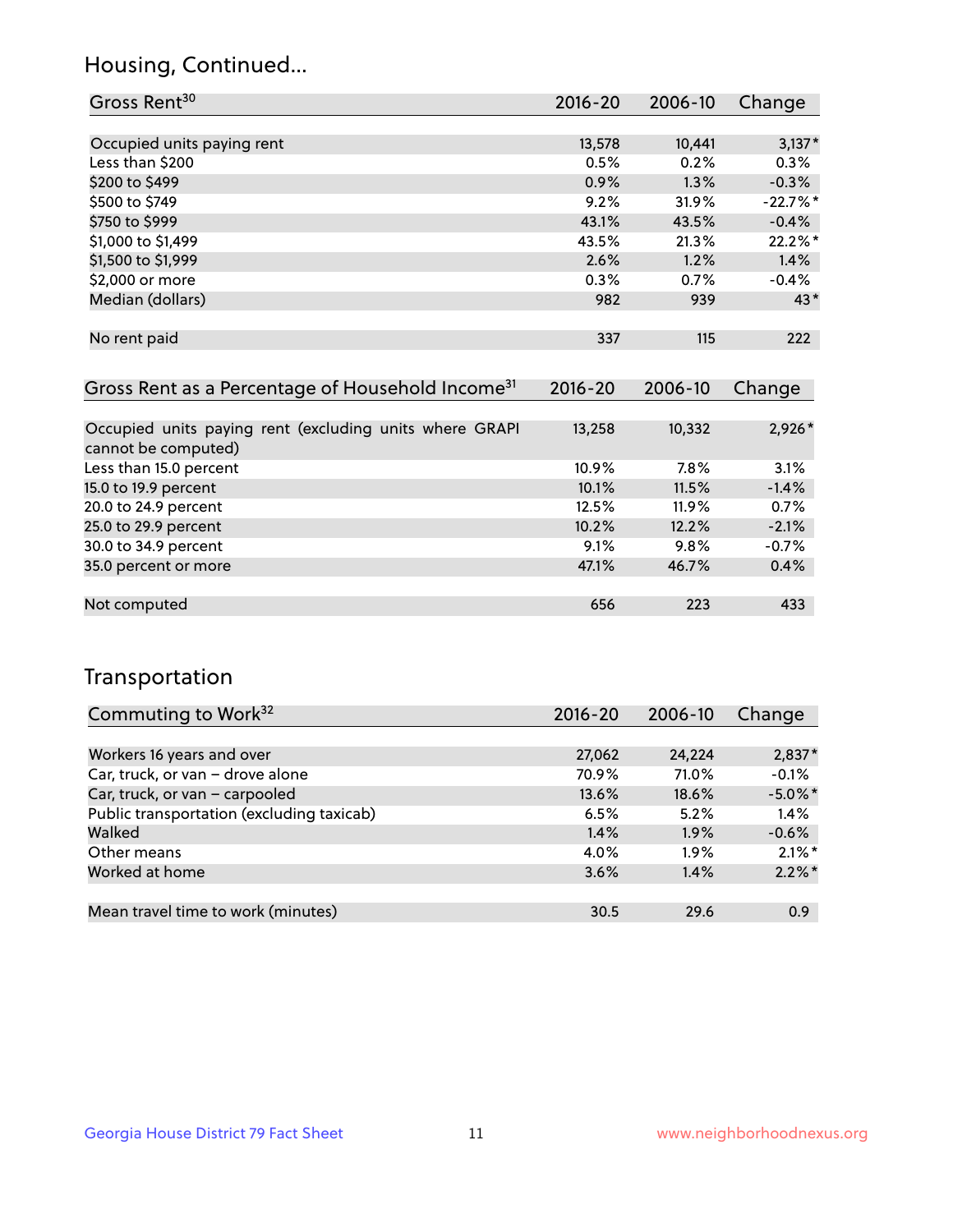## Housing, Continued...

| Gross Rent <sup>30</sup>                                                                                                                                                                                                                                                                                                                         | 2016-20                     | 2006-10                  | Change     |
|--------------------------------------------------------------------------------------------------------------------------------------------------------------------------------------------------------------------------------------------------------------------------------------------------------------------------------------------------|-----------------------------|--------------------------|------------|
|                                                                                                                                                                                                                                                                                                                                                  |                             |                          |            |
| Occupied units paying rent                                                                                                                                                                                                                                                                                                                       | 13,578                      | 10,441                   | $3,137*$   |
| Less than \$200                                                                                                                                                                                                                                                                                                                                  | 0.5%                        | 0.2%                     | 0.3%       |
| \$200 to \$499                                                                                                                                                                                                                                                                                                                                   | 0.9%                        | 1.3%                     | $-0.3%$    |
| \$500 to \$749                                                                                                                                                                                                                                                                                                                                   | 9.2%                        | 31.9%                    | $-22.7%$ * |
| \$750 to \$999                                                                                                                                                                                                                                                                                                                                   | 43.1%                       | 43.5%                    | $-0.4%$    |
| \$1,000 to \$1,499                                                                                                                                                                                                                                                                                                                               | 43.5%                       | 21.3%                    | 22.2%*     |
| \$1,500 to \$1,999                                                                                                                                                                                                                                                                                                                               | 2.6%                        | 1.2%                     | 1.4%       |
| \$2,000 or more                                                                                                                                                                                                                                                                                                                                  | 0.3%                        | 0.7%                     | $-0.4%$    |
| Median (dollars)                                                                                                                                                                                                                                                                                                                                 | 982                         | 939                      | $43*$      |
|                                                                                                                                                                                                                                                                                                                                                  |                             |                          |            |
| No rent paid                                                                                                                                                                                                                                                                                                                                     | 337                         | 115                      | 222        |
|                                                                                                                                                                                                                                                                                                                                                  |                             |                          |            |
| Gross Rent as a Percentage of Household Income <sup>31</sup>                                                                                                                                                                                                                                                                                     | $2016 - 20$                 | 2006-10                  | Change     |
|                                                                                                                                                                                                                                                                                                                                                  |                             |                          |            |
| $\mathbf{r}$ . The contract of the contract of the contract of the contract of the contract of the contract of the contract of the contract of the contract of the contract of the contract of the contract of the contract of th<br>$\sim$ $\sim$ $\sim$ $\sim$ $\sim$ $\sim$<br>the contract of the contract of<br>$\sim$ $\sim$ $\sim$ $\sim$ | $\sim$ $\sim$ $\sim$ $\sim$ | $\overline{\phantom{a}}$ | A A A A    |

| Occupied units paying rent (excluding units where GRAPI | 13,258   | 10,332   | $2,926*$ |
|---------------------------------------------------------|----------|----------|----------|
| cannot be computed)                                     |          |          |          |
| Less than 15.0 percent                                  | $10.9\%$ | 7.8%     | 3.1%     |
| 15.0 to 19.9 percent                                    | 10.1%    | 11.5%    | $-1.4%$  |
| 20.0 to 24.9 percent                                    | 12.5%    | $11.9\%$ | 0.7%     |
| 25.0 to 29.9 percent                                    | 10.2%    | 12.2%    | $-2.1%$  |
| 30.0 to 34.9 percent                                    | 9.1%     | 9.8%     | $-0.7%$  |
| 35.0 percent or more                                    | 47.1%    | 46.7%    | 0.4%     |
|                                                         |          |          |          |
| Not computed                                            | 656      | 223      | 433      |

## Transportation

| Commuting to Work <sup>32</sup>           | 2016-20 | 2006-10 | Change     |
|-------------------------------------------|---------|---------|------------|
|                                           |         |         |            |
| Workers 16 years and over                 | 27,062  | 24,224  | $2,837*$   |
| Car, truck, or van - drove alone          | 70.9%   | 71.0%   | $-0.1%$    |
| Car, truck, or van - carpooled            | 13.6%   | 18.6%   | $-5.0\%$ * |
| Public transportation (excluding taxicab) | 6.5%    | 5.2%    | 1.4%       |
| Walked                                    | 1.4%    | 1.9%    | $-0.6%$    |
| Other means                               | 4.0%    | $1.9\%$ | $2.1\%$ *  |
| Worked at home                            | 3.6%    | 1.4%    | $2.2\%$ *  |
|                                           |         |         |            |
| Mean travel time to work (minutes)        | 30.5    | 29.6    | 0.9        |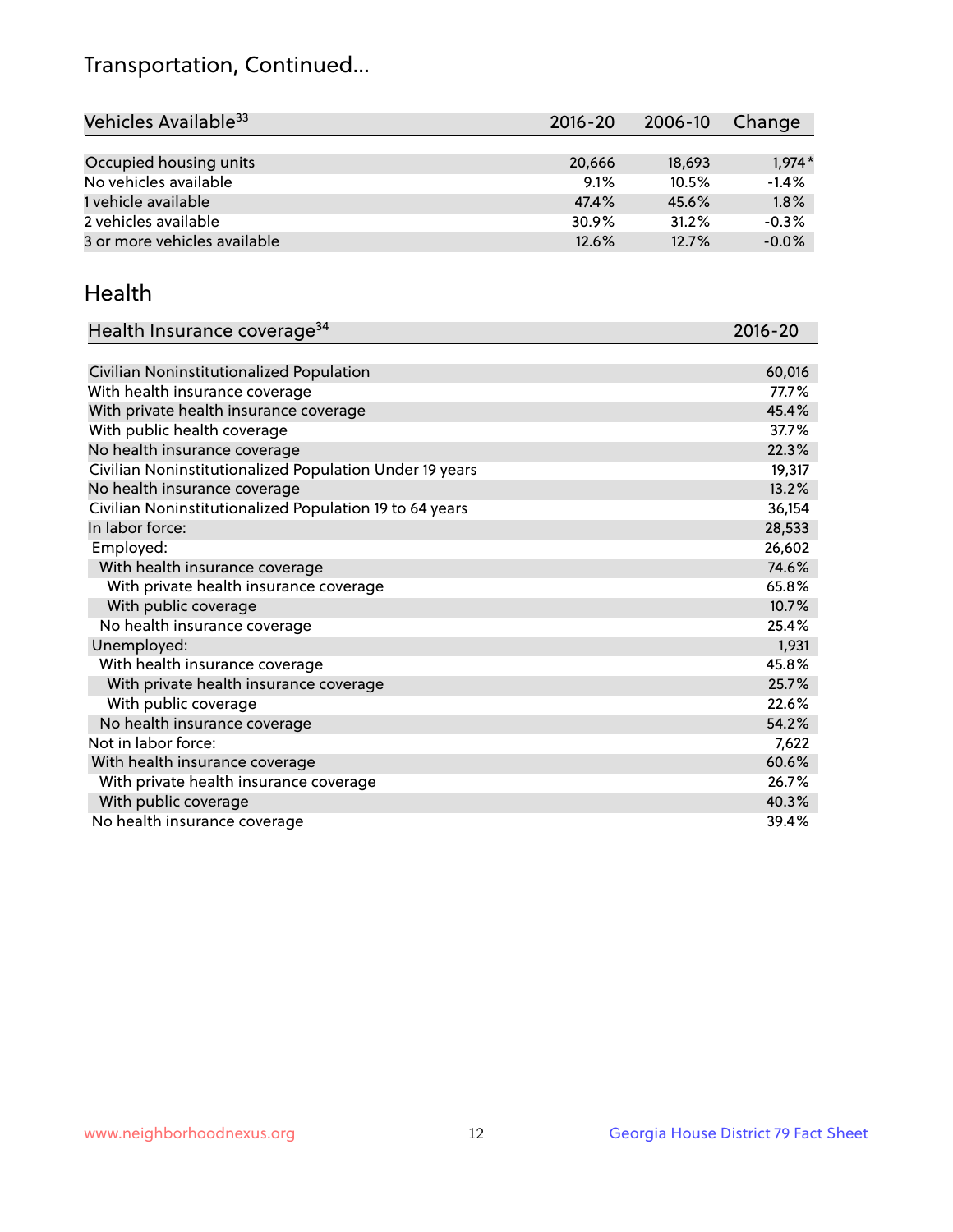## Transportation, Continued...

| Vehicles Available <sup>33</sup> | 2016-20 | 2006-10 | Change   |
|----------------------------------|---------|---------|----------|
|                                  |         |         |          |
| Occupied housing units           | 20,666  | 18,693  | $1.974*$ |
| No vehicles available            | 9.1%    | 10.5%   | $-1.4%$  |
| 1 vehicle available              | 47.4%   | 45.6%   | 1.8%     |
| 2 vehicles available             | 30.9%   | 31.2%   | $-0.3%$  |
| 3 or more vehicles available     | 12.6%   | 12.7%   | $-0.0%$  |

#### Health

| Health Insurance coverage <sup>34</sup>                 | 2016-20 |
|---------------------------------------------------------|---------|
|                                                         |         |
| Civilian Noninstitutionalized Population                | 60,016  |
| With health insurance coverage                          | 77.7%   |
| With private health insurance coverage                  | 45.4%   |
| With public health coverage                             | 37.7%   |
| No health insurance coverage                            | 22.3%   |
| Civilian Noninstitutionalized Population Under 19 years | 19,317  |
| No health insurance coverage                            | 13.2%   |
| Civilian Noninstitutionalized Population 19 to 64 years | 36,154  |
| In labor force:                                         | 28,533  |
| Employed:                                               | 26,602  |
| With health insurance coverage                          | 74.6%   |
| With private health insurance coverage                  | 65.8%   |
| With public coverage                                    | 10.7%   |
| No health insurance coverage                            | 25.4%   |
| Unemployed:                                             | 1,931   |
| With health insurance coverage                          | 45.8%   |
| With private health insurance coverage                  | 25.7%   |
| With public coverage                                    | 22.6%   |
| No health insurance coverage                            | 54.2%   |
| Not in labor force:                                     | 7,622   |
| With health insurance coverage                          | 60.6%   |
| With private health insurance coverage                  | 26.7%   |
| With public coverage                                    | 40.3%   |
| No health insurance coverage                            | 39.4%   |